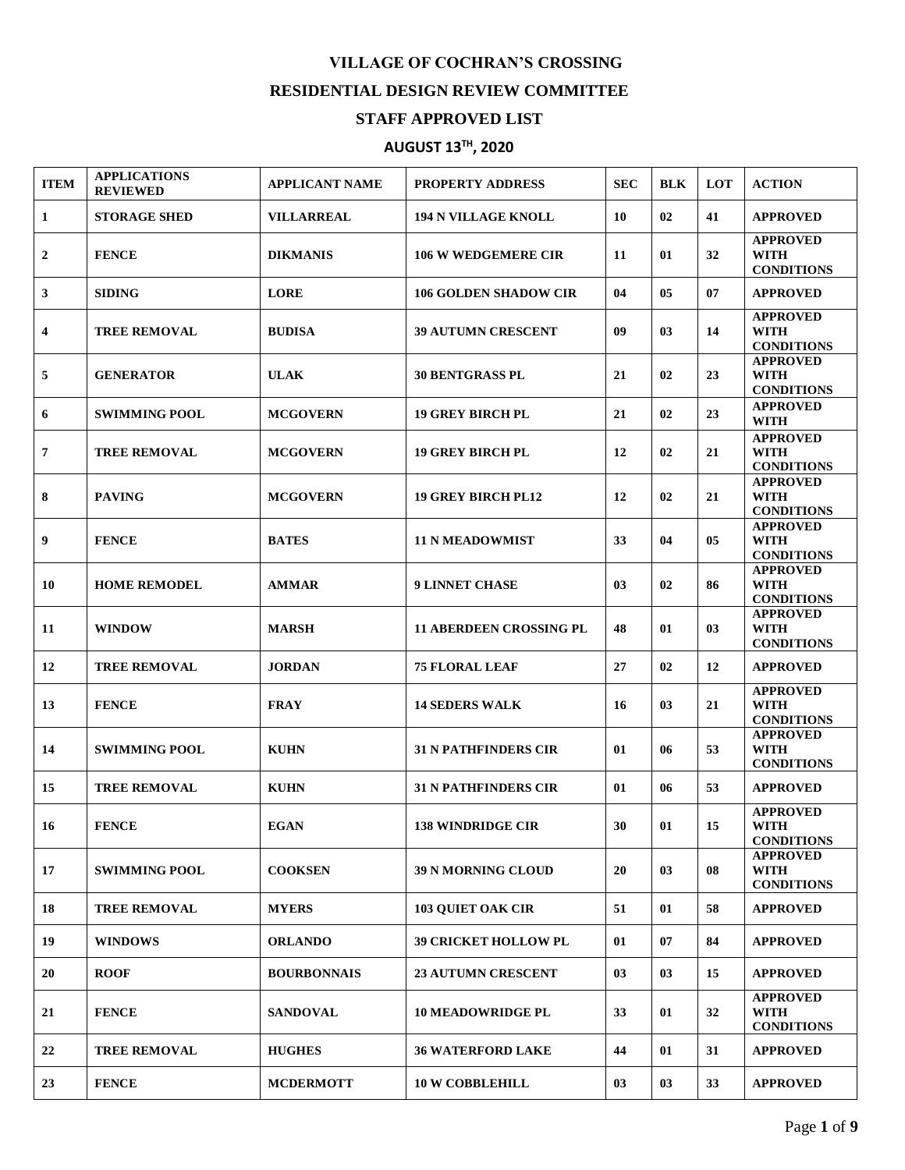## **VILLAGE OF COCHRAN'S CROSSING RESIDENTIAL DESIGN REVIEW COMMITTEE STAFF APPROVED LIST**

## **AUGUST 13 TH , 2020**

| <b>ITEM</b>    | <b>APPLICATIONS</b><br><b>REVIEWED</b> | <b>APPLICANT NAME</b> | <b>PROPERTY ADDRESS</b>        | <b>SEC</b>     | <b>BLK</b> | <b>LOT</b>     | <b>ACTION</b>                                       |
|----------------|----------------------------------------|-----------------------|--------------------------------|----------------|------------|----------------|-----------------------------------------------------|
| 1              | <b>STORAGE SHED</b>                    | <b>VILLARREAL</b>     | <b>194 N VILLAGE KNOLL</b>     | 10             | 02         | 41             | <b>APPROVED</b>                                     |
| $\overline{2}$ | <b>FENCE</b>                           | <b>DIKMANIS</b>       | <b>106 W WEDGEMERE CIR</b>     | 11             | 01         | 32             | <b>APPROVED</b><br><b>WITH</b><br><b>CONDITIONS</b> |
| 3              | <b>SIDING</b>                          | <b>LORE</b>           | <b>106 GOLDEN SHADOW CIR</b>   | 04             | 05         | 07             | <b>APPROVED</b>                                     |
| 4              | <b>TREE REMOVAL</b>                    | <b>BUDISA</b>         | <b>39 AUTUMN CRESCENT</b>      | 09             | 03         | 14             | <b>APPROVED</b><br><b>WITH</b><br><b>CONDITIONS</b> |
| 5              | <b>GENERATOR</b>                       | <b>ULAK</b>           | <b>30 BENTGRASS PL</b>         | 21             | 02         | 23             | <b>APPROVED</b><br><b>WITH</b><br><b>CONDITIONS</b> |
| 6              | <b>SWIMMING POOL</b>                   | <b>MCGOVERN</b>       | <b>19 GREY BIRCH PL</b>        | 21             | 02         | 23             | <b>APPROVED</b><br><b>WITH</b>                      |
| 7              | <b>TREE REMOVAL</b>                    | <b>MCGOVERN</b>       | <b>19 GREY BIRCH PL</b>        | 12             | 02         | 21             | <b>APPROVED</b><br><b>WITH</b><br><b>CONDITIONS</b> |
| 8              | <b>PAVING</b>                          | <b>MCGOVERN</b>       | <b>19 GREY BIRCH PL12</b>      | 12             | 02         | 21             | <b>APPROVED</b><br><b>WITH</b><br><b>CONDITIONS</b> |
| 9              | <b>FENCE</b>                           | <b>BATES</b>          | <b>11 N MEADOWMIST</b>         | 33             | 04         | 05             | <b>APPROVED</b><br><b>WITH</b><br><b>CONDITIONS</b> |
| 10             | <b>HOME REMODEL</b>                    | <b>AMMAR</b>          | <b>9 LINNET CHASE</b>          | 0 <sub>3</sub> | 02         | 86             | <b>APPROVED</b><br><b>WITH</b><br><b>CONDITIONS</b> |
| 11             | <b>WINDOW</b>                          | <b>MARSH</b>          | <b>11 ABERDEEN CROSSING PL</b> | 48             | 01         | 0 <sub>3</sub> | <b>APPROVED</b><br><b>WITH</b><br><b>CONDITIONS</b> |
| 12             | <b>TREE REMOVAL</b>                    | <b>JORDAN</b>         | <b>75 FLORAL LEAF</b>          | 27             | 02         | 12             | <b>APPROVED</b>                                     |
| 13             | <b>FENCE</b>                           | <b>FRAY</b>           | <b>14 SEDERS WALK</b>          | 16             | 03         | 21             | <b>APPROVED</b><br><b>WITH</b><br><b>CONDITIONS</b> |
| 14             | <b>SWIMMING POOL</b>                   | <b>KUHN</b>           | <b>31 N PATHFINDERS CIR</b>    | 01             | 06         | 53             | <b>APPROVED</b><br><b>WITH</b><br><b>CONDITIONS</b> |
| 15             | <b>TREE REMOVAL</b>                    | <b>KUHN</b>           | <b>31 N PATHFINDERS CIR</b>    | 01             | 06         | 53             | <b>APPROVED</b>                                     |
| 16             | <b>FENCE</b>                           | <b>EGAN</b>           | <b>138 WINDRIDGE CIR</b>       | 30             | 01         | 15             | <b>APPROVED</b><br>WITH<br><b>CONDITIONS</b>        |
| 17             | <b>SWIMMING POOL</b>                   | <b>COOKSEN</b>        | <b>39 N MORNING CLOUD</b>      | 20             | 03         | 08             | <b>APPROVED</b><br><b>WITH</b><br><b>CONDITIONS</b> |
| 18             | <b>TREE REMOVAL</b>                    | <b>MYERS</b>          | <b>103 OUIET OAK CIR</b>       | 51             | 01         | 58             | <b>APPROVED</b>                                     |
| 19             | <b>WINDOWS</b>                         | <b>ORLANDO</b>        | <b>39 CRICKET HOLLOW PL</b>    | 01             | 07         | 84             | <b>APPROVED</b>                                     |
| 20             | <b>ROOF</b>                            | <b>BOURBONNAIS</b>    | 23 AUTUMN CRESCENT             | 03             | 03         | 15             | <b>APPROVED</b>                                     |
| 21             | <b>FENCE</b>                           | <b>SANDOVAL</b>       | <b>10 MEADOWRIDGE PL</b>       | 33             | 01         | 32             | <b>APPROVED</b><br><b>WITH</b><br><b>CONDITIONS</b> |
| 22             | <b>TREE REMOVAL</b>                    | <b>HUGHES</b>         | <b>36 WATERFORD LAKE</b>       | 44             | 01         | 31             | <b>APPROVED</b>                                     |
| 23             | <b>FENCE</b>                           | <b>MCDERMOTT</b>      | <b>10 W COBBLEHILL</b>         | 03             | 03         | 33             | <b>APPROVED</b>                                     |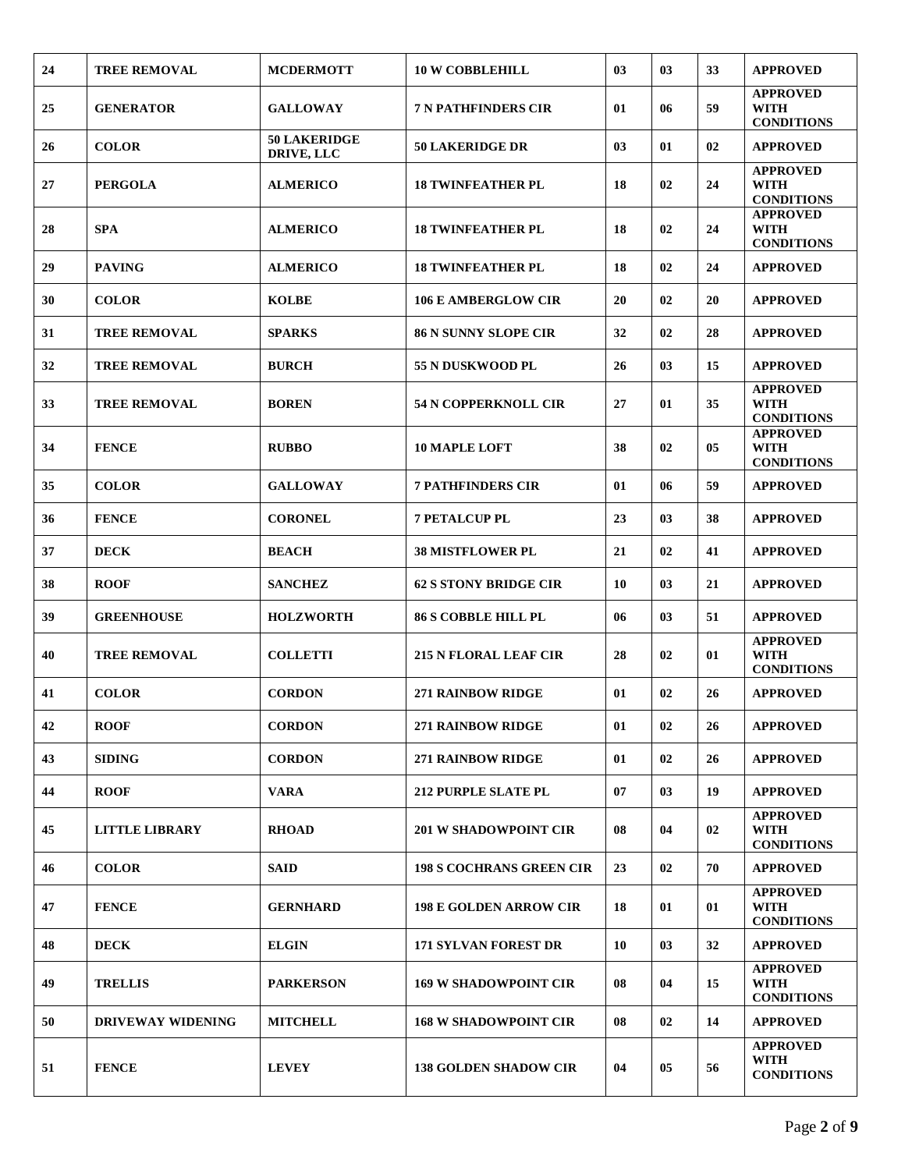| 24 | <b>TREE REMOVAL</b>      | <b>MCDERMOTT</b>                  | <b>10 W COBBLEHILL</b>          | 03 | 03 | 33 | <b>APPROVED</b>                                     |
|----|--------------------------|-----------------------------------|---------------------------------|----|----|----|-----------------------------------------------------|
| 25 | <b>GENERATOR</b>         | <b>GALLOWAY</b>                   | <b>7 N PATHFINDERS CIR</b>      | 01 | 06 | 59 | <b>APPROVED</b><br>WITH<br><b>CONDITIONS</b>        |
| 26 | <b>COLOR</b>             | <b>50 LAKERIDGE</b><br>DRIVE, LLC | <b>50 LAKERIDGE DR</b>          | 03 | 01 | 02 | <b>APPROVED</b>                                     |
| 27 | <b>PERGOLA</b>           | <b>ALMERICO</b>                   | <b>18 TWINFEATHER PL</b>        | 18 | 02 | 24 | <b>APPROVED</b><br><b>WITH</b><br><b>CONDITIONS</b> |
| 28 | <b>SPA</b>               | <b>ALMERICO</b>                   | <b>18 TWINFEATHER PL</b>        | 18 | 02 | 24 | <b>APPROVED</b><br><b>WITH</b><br><b>CONDITIONS</b> |
| 29 | <b>PAVING</b>            | <b>ALMERICO</b>                   | <b>18 TWINFEATHER PL</b>        | 18 | 02 | 24 | <b>APPROVED</b>                                     |
| 30 | <b>COLOR</b>             | <b>KOLBE</b>                      | <b>106 E AMBERGLOW CIR</b>      | 20 | 02 | 20 | <b>APPROVED</b>                                     |
| 31 | <b>TREE REMOVAL</b>      | <b>SPARKS</b>                     | <b>86 N SUNNY SLOPE CIR</b>     | 32 | 02 | 28 | <b>APPROVED</b>                                     |
| 32 | <b>TREE REMOVAL</b>      | <b>BURCH</b>                      | 55 N DUSKWOOD PL                | 26 | 03 | 15 | <b>APPROVED</b>                                     |
| 33 | <b>TREE REMOVAL</b>      | <b>BOREN</b>                      | <b>54 N COPPERKNOLL CIR</b>     | 27 | 01 | 35 | <b>APPROVED</b><br><b>WITH</b><br><b>CONDITIONS</b> |
| 34 | <b>FENCE</b>             | <b>RUBBO</b>                      | <b>10 MAPLE LOFT</b>            | 38 | 02 | 05 | <b>APPROVED</b><br><b>WITH</b><br><b>CONDITIONS</b> |
| 35 | <b>COLOR</b>             | <b>GALLOWAY</b>                   | <b>7 PATHFINDERS CIR</b>        | 01 | 06 | 59 | <b>APPROVED</b>                                     |
| 36 | <b>FENCE</b>             | <b>CORONEL</b>                    | <b>7 PETALCUP PL</b>            | 23 | 03 | 38 | <b>APPROVED</b>                                     |
| 37 | <b>DECK</b>              | <b>BEACH</b>                      | <b>38 MISTFLOWER PL</b>         | 21 | 02 | 41 | <b>APPROVED</b>                                     |
| 38 | <b>ROOF</b>              | <b>SANCHEZ</b>                    | <b>62 S STONY BRIDGE CIR</b>    | 10 | 03 | 21 | <b>APPROVED</b>                                     |
| 39 | <b>GREENHOUSE</b>        | <b>HOLZWORTH</b>                  | <b>86 S COBBLE HILL PL</b>      | 06 | 03 | 51 | <b>APPROVED</b>                                     |
| 40 | <b>TREE REMOVAL</b>      | <b>COLLETTI</b>                   | <b>215 N FLORAL LEAF CIR</b>    | 28 | 02 | 01 | <b>APPROVED</b><br><b>WITH</b><br><b>CONDITIONS</b> |
| 41 | <b>COLOR</b>             | <b>CORDON</b>                     | <b>271 RAINBOW RIDGE</b>        | 01 | 02 | 26 | <b>APPROVED</b>                                     |
| 42 | <b>ROOF</b>              | <b>CORDON</b>                     | 271 RAINBOW RIDGE               | 01 | 02 | 26 | <b>APPROVED</b>                                     |
| 43 | <b>SIDING</b>            | <b>CORDON</b>                     | <b>271 RAINBOW RIDGE</b>        | 01 | 02 | 26 | <b>APPROVED</b>                                     |
| 44 | <b>ROOF</b>              | <b>VARA</b>                       | <b>212 PURPLE SLATE PL</b>      | 07 | 03 | 19 | <b>APPROVED</b>                                     |
| 45 | <b>LITTLE LIBRARY</b>    | <b>RHOAD</b>                      | <b>201 W SHADOWPOINT CIR</b>    | 08 | 04 | 02 | <b>APPROVED</b><br><b>WITH</b><br><b>CONDITIONS</b> |
| 46 | <b>COLOR</b>             | <b>SAID</b>                       | <b>198 S COCHRANS GREEN CIR</b> | 23 | 02 | 70 | <b>APPROVED</b>                                     |
| 47 | <b>FENCE</b>             | <b>GERNHARD</b>                   | <b>198 E GOLDEN ARROW CIR</b>   | 18 | 01 | 01 | <b>APPROVED</b><br><b>WITH</b><br><b>CONDITIONS</b> |
| 48 | <b>DECK</b>              | <b>ELGIN</b>                      | <b>171 SYLVAN FOREST DR</b>     | 10 | 03 | 32 | <b>APPROVED</b>                                     |
| 49 | <b>TRELLIS</b>           | <b>PARKERSON</b>                  | <b>169 W SHADOWPOINT CIR</b>    | 08 | 04 | 15 | <b>APPROVED</b><br><b>WITH</b><br><b>CONDITIONS</b> |
| 50 | <b>DRIVEWAY WIDENING</b> | <b>MITCHELL</b>                   | <b>168 W SHADOWPOINT CIR</b>    | 08 | 02 | 14 | <b>APPROVED</b>                                     |
| 51 | <b>FENCE</b>             | <b>LEVEY</b>                      | <b>138 GOLDEN SHADOW CIR</b>    | 04 | 05 | 56 | <b>APPROVED</b><br><b>WITH</b><br><b>CONDITIONS</b> |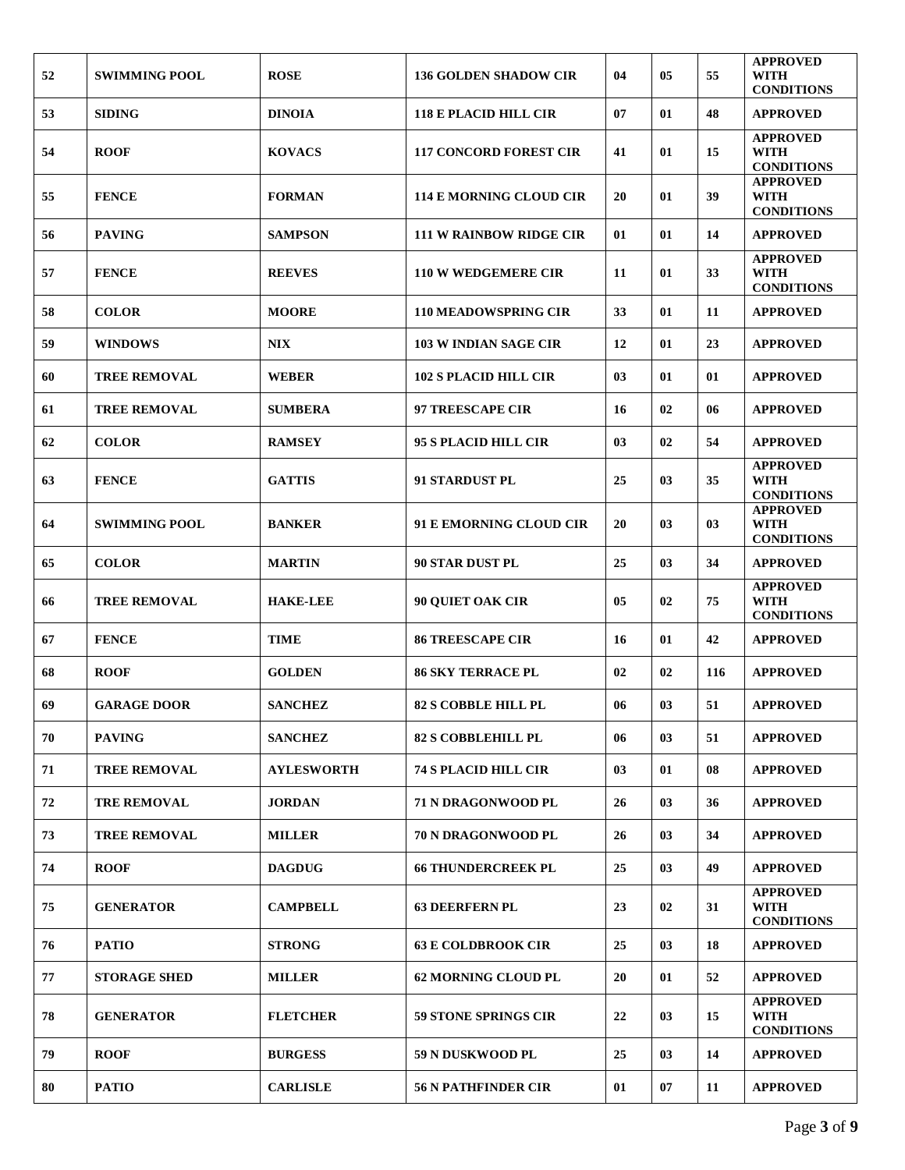|    |                      |                   |                                |    |    |     | <b>APPROVED</b>                                     |
|----|----------------------|-------------------|--------------------------------|----|----|-----|-----------------------------------------------------|
| 52 | <b>SWIMMING POOL</b> | <b>ROSE</b>       | <b>136 GOLDEN SHADOW CIR</b>   | 04 | 05 | 55  | WITH<br><b>CONDITIONS</b>                           |
| 53 | <b>SIDING</b>        | <b>DINOIA</b>     | <b>118 E PLACID HILL CIR</b>   | 07 | 01 | 48  | <b>APPROVED</b>                                     |
| 54 | <b>ROOF</b>          | <b>KOVACS</b>     | <b>117 CONCORD FOREST CIR</b>  | 41 | 01 | 15  | <b>APPROVED</b><br><b>WITH</b><br><b>CONDITIONS</b> |
| 55 | <b>FENCE</b>         | <b>FORMAN</b>     | 114 E MORNING CLOUD CIR        | 20 | 01 | 39  | <b>APPROVED</b><br><b>WITH</b><br><b>CONDITIONS</b> |
| 56 | <b>PAVING</b>        | <b>SAMPSON</b>    | <b>111 W RAINBOW RIDGE CIR</b> | 01 | 01 | 14  | <b>APPROVED</b>                                     |
| 57 | <b>FENCE</b>         | <b>REEVES</b>     | <b>110 W WEDGEMERE CIR</b>     | 11 | 01 | 33  | <b>APPROVED</b><br><b>WITH</b><br><b>CONDITIONS</b> |
| 58 | <b>COLOR</b>         | <b>MOORE</b>      | <b>110 MEADOWSPRING CIR</b>    | 33 | 01 | 11  | <b>APPROVED</b>                                     |
| 59 | <b>WINDOWS</b>       | <b>NIX</b>        | <b>103 W INDIAN SAGE CIR</b>   | 12 | 01 | 23  | <b>APPROVED</b>                                     |
| 60 | <b>TREE REMOVAL</b>  | <b>WEBER</b>      | <b>102 S PLACID HILL CIR</b>   | 03 | 01 | 01  | <b>APPROVED</b>                                     |
| 61 | <b>TREE REMOVAL</b>  | <b>SUMBERA</b>    | 97 TREESCAPE CIR               | 16 | 02 | 06  | <b>APPROVED</b>                                     |
| 62 | <b>COLOR</b>         | <b>RAMSEY</b>     | 95 S PLACID HILL CIR           | 03 | 02 | 54  | <b>APPROVED</b>                                     |
| 63 | <b>FENCE</b>         | <b>GATTIS</b>     | 91 STARDUST PL                 | 25 | 03 | 35  | <b>APPROVED</b><br><b>WITH</b><br><b>CONDITIONS</b> |
| 64 | <b>SWIMMING POOL</b> | <b>BANKER</b>     | 91 E EMORNING CLOUD CIR        | 20 | 03 | 03  | <b>APPROVED</b><br><b>WITH</b><br><b>CONDITIONS</b> |
| 65 | <b>COLOR</b>         | <b>MARTIN</b>     | <b>90 STAR DUST PL</b>         | 25 | 03 | 34  | <b>APPROVED</b>                                     |
| 66 | <b>TREE REMOVAL</b>  | <b>HAKE-LEE</b>   | <b>90 QUIET OAK CIR</b>        | 05 | 02 | 75  | <b>APPROVED</b><br>WITH<br><b>CONDITIONS</b>        |
| 67 | <b>FENCE</b>         | <b>TIME</b>       | <b>86 TREESCAPE CIR</b>        | 16 | 01 | 42  | <b>APPROVED</b>                                     |
| 68 | <b>ROOF</b>          | <b>GOLDEN</b>     | <b>86 SKY TERRACE PL</b>       | 02 | 02 | 116 | <b>APPROVED</b>                                     |
| 69 | <b>GARAGE DOOR</b>   | <b>SANCHEZ</b>    | <b>82 S COBBLE HILL PL</b>     | 06 | 03 | 51  | <b>APPROVED</b>                                     |
| 70 | <b>PAVING</b>        | <b>SANCHEZ</b>    | <b>82 S COBBLEHILL PL</b>      | 06 | 03 | 51  | <b>APPROVED</b>                                     |
| 71 | <b>TREE REMOVAL</b>  | <b>AYLESWORTH</b> | <b>74 S PLACID HILL CIR</b>    | 03 | 01 | 08  | <b>APPROVED</b>                                     |
| 72 | <b>TRE REMOVAL</b>   | <b>JORDAN</b>     | <b>71 N DRAGONWOOD PL</b>      | 26 | 03 | 36  | <b>APPROVED</b>                                     |
| 73 | <b>TREE REMOVAL</b>  | <b>MILLER</b>     | 70 N DRAGONWOOD PL             | 26 | 03 | 34  | <b>APPROVED</b>                                     |
| 74 | <b>ROOF</b>          | <b>DAGDUG</b>     | <b>66 THUNDERCREEK PL</b>      | 25 | 03 | 49  | <b>APPROVED</b>                                     |
| 75 | <b>GENERATOR</b>     | <b>CAMPBELL</b>   | <b>63 DEERFERN PL</b>          | 23 | 02 | 31  | <b>APPROVED</b><br><b>WITH</b><br><b>CONDITIONS</b> |
| 76 | <b>PATIO</b>         | <b>STRONG</b>     | <b>63 E COLDBROOK CIR</b>      | 25 | 03 | 18  | <b>APPROVED</b>                                     |
| 77 | <b>STORAGE SHED</b>  | <b>MILLER</b>     | 62 MORNING CLOUD PL            | 20 | 01 | 52  | <b>APPROVED</b>                                     |
| 78 | <b>GENERATOR</b>     | <b>FLETCHER</b>   | <b>59 STONE SPRINGS CIR</b>    | 22 | 03 | 15  | <b>APPROVED</b><br>WITH<br><b>CONDITIONS</b>        |
| 79 | <b>ROOF</b>          | <b>BURGESS</b>    | <b>59 N DUSKWOOD PL</b>        | 25 | 03 | 14  | <b>APPROVED</b>                                     |
| 80 | <b>PATIO</b>         | <b>CARLISLE</b>   | <b>56 N PATHFINDER CIR</b>     | 01 | 07 | 11  | <b>APPROVED</b>                                     |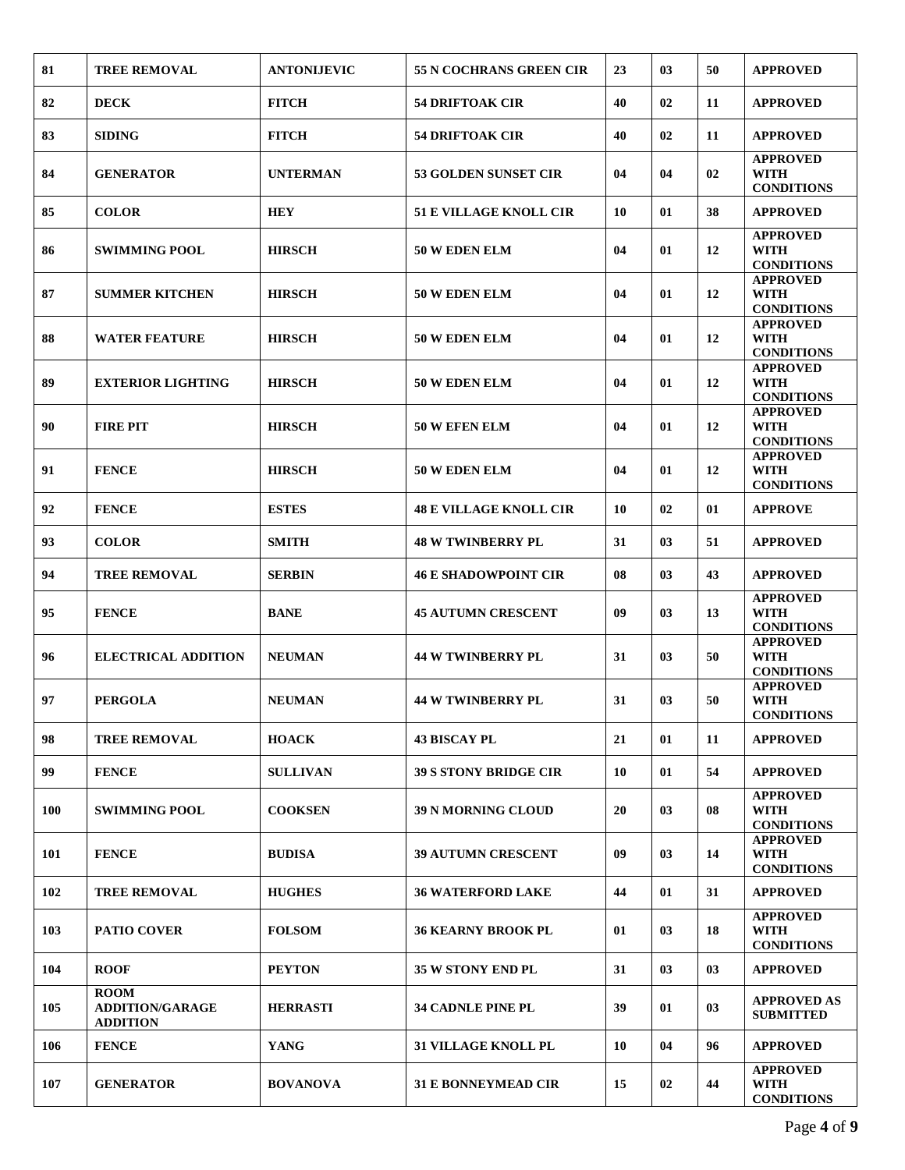| 81         | <b>TREE REMOVAL</b>                                      | <b>ANTONLJEVIC</b> | 55 N COCHRANS GREEN CIR       | 23 | 03 | 50 | <b>APPROVED</b>                                     |
|------------|----------------------------------------------------------|--------------------|-------------------------------|----|----|----|-----------------------------------------------------|
| 82         | <b>DECK</b>                                              | <b>FITCH</b>       | <b>54 DRIFTOAK CIR</b>        | 40 | 02 | 11 | <b>APPROVED</b>                                     |
| 83         | <b>SIDING</b>                                            | <b>FITCH</b>       | <b>54 DRIFTOAK CIR</b>        | 40 | 02 | 11 | <b>APPROVED</b>                                     |
| 84         | <b>GENERATOR</b>                                         | <b>UNTERMAN</b>    | <b>53 GOLDEN SUNSET CIR</b>   | 04 | 04 | 02 | <b>APPROVED</b><br>WITH<br><b>CONDITIONS</b>        |
| 85         | <b>COLOR</b>                                             | <b>HEY</b>         | <b>51 E VILLAGE KNOLL CIR</b> | 10 | 01 | 38 | <b>APPROVED</b>                                     |
| 86         | <b>SWIMMING POOL</b>                                     | <b>HIRSCH</b>      | 50 W EDEN ELM                 | 04 | 01 | 12 | <b>APPROVED</b><br><b>WITH</b><br><b>CONDITIONS</b> |
| 87         | <b>SUMMER KITCHEN</b>                                    | <b>HIRSCH</b>      | 50 W EDEN ELM                 | 04 | 01 | 12 | <b>APPROVED</b><br><b>WITH</b><br><b>CONDITIONS</b> |
| 88         | <b>WATER FEATURE</b>                                     | <b>HIRSCH</b>      | 50 W EDEN ELM                 | 04 | 01 | 12 | <b>APPROVED</b><br><b>WITH</b><br><b>CONDITIONS</b> |
| 89         | <b>EXTERIOR LIGHTING</b>                                 | <b>HIRSCH</b>      | 50 W EDEN ELM                 | 04 | 01 | 12 | <b>APPROVED</b><br><b>WITH</b><br><b>CONDITIONS</b> |
| 90         | <b>FIRE PIT</b>                                          | <b>HIRSCH</b>      | 50 W EFEN ELM                 | 04 | 01 | 12 | <b>APPROVED</b><br><b>WITH</b><br><b>CONDITIONS</b> |
| 91         | <b>FENCE</b>                                             | <b>HIRSCH</b>      | 50 W EDEN ELM                 | 04 | 01 | 12 | <b>APPROVED</b><br><b>WITH</b><br><b>CONDITIONS</b> |
| 92         | <b>FENCE</b>                                             | <b>ESTES</b>       | <b>48 E VILLAGE KNOLL CIR</b> | 10 | 02 | 01 | <b>APPROVE</b>                                      |
| 93         | <b>COLOR</b>                                             | <b>SMITH</b>       | <b>48 W TWINBERRY PL</b>      | 31 | 03 | 51 | <b>APPROVED</b>                                     |
| 94         | <b>TREE REMOVAL</b>                                      | <b>SERBIN</b>      | <b>46 E SHADOWPOINT CIR</b>   | 08 | 03 | 43 | <b>APPROVED</b>                                     |
| 95         | <b>FENCE</b>                                             | <b>BANE</b>        | <b>45 AUTUMN CRESCENT</b>     | 09 | 03 | 13 | <b>APPROVED</b><br><b>WITH</b><br><b>CONDITIONS</b> |
| 96         | <b>ELECTRICAL ADDITION</b>                               | <b>NEUMAN</b>      | <b>44 W TWINBERRY PL</b>      | 31 | 03 | 50 | <b>APPROVED</b><br><b>WITH</b><br><b>CONDITIONS</b> |
| 97         | <b>PERGOLA</b>                                           | <b>NEUMAN</b>      | <b>44 W TWINBERRY PL</b>      | 31 | 03 | 50 | <b>APPROVED</b><br>WITH<br><b>CONDITIONS</b>        |
| 98         | <b>TREE REMOVAL</b>                                      | <b>HOACK</b>       | <b>43 BISCAY PL</b>           | 21 | 01 | 11 | <b>APPROVED</b>                                     |
| 99         | <b>FENCE</b>                                             | <b>SULLIVAN</b>    | <b>39 S STONY BRIDGE CIR</b>  | 10 | 01 | 54 | <b>APPROVED</b>                                     |
| <b>100</b> | <b>SWIMMING POOL</b>                                     | <b>COOKSEN</b>     | <b>39 N MORNING CLOUD</b>     | 20 | 03 | 08 | <b>APPROVED</b><br><b>WITH</b><br><b>CONDITIONS</b> |
| 101        | <b>FENCE</b>                                             | <b>BUDISA</b>      | <b>39 AUTUMN CRESCENT</b>     | 09 | 03 | 14 | <b>APPROVED</b><br><b>WITH</b><br><b>CONDITIONS</b> |
| 102        | <b>TREE REMOVAL</b>                                      | <b>HUGHES</b>      | <b>36 WATERFORD LAKE</b>      | 44 | 01 | 31 | <b>APPROVED</b>                                     |
| 103        | <b>PATIO COVER</b>                                       | <b>FOLSOM</b>      | <b>36 KEARNY BROOK PL</b>     | 01 | 03 | 18 | <b>APPROVED</b><br><b>WITH</b><br><b>CONDITIONS</b> |
| 104        | <b>ROOF</b>                                              | <b>PEYTON</b>      | <b>35 W STONY END PL</b>      | 31 | 03 | 03 | <b>APPROVED</b>                                     |
| 105        | <b>ROOM</b><br><b>ADDITION/GARAGE</b><br><b>ADDITION</b> | <b>HERRASTI</b>    | <b>34 CADNLE PINE PL</b>      | 39 | 01 | 03 | <b>APPROVED AS</b><br><b>SUBMITTED</b>              |
| 106        | <b>FENCE</b>                                             | <b>YANG</b>        | <b>31 VILLAGE KNOLL PL</b>    | 10 | 04 | 96 | <b>APPROVED</b>                                     |
| 107        | <b>GENERATOR</b>                                         | <b>BOVANOVA</b>    | <b>31 E BONNEYMEAD CIR</b>    | 15 | 02 | 44 | <b>APPROVED</b><br><b>WITH</b><br><b>CONDITIONS</b> |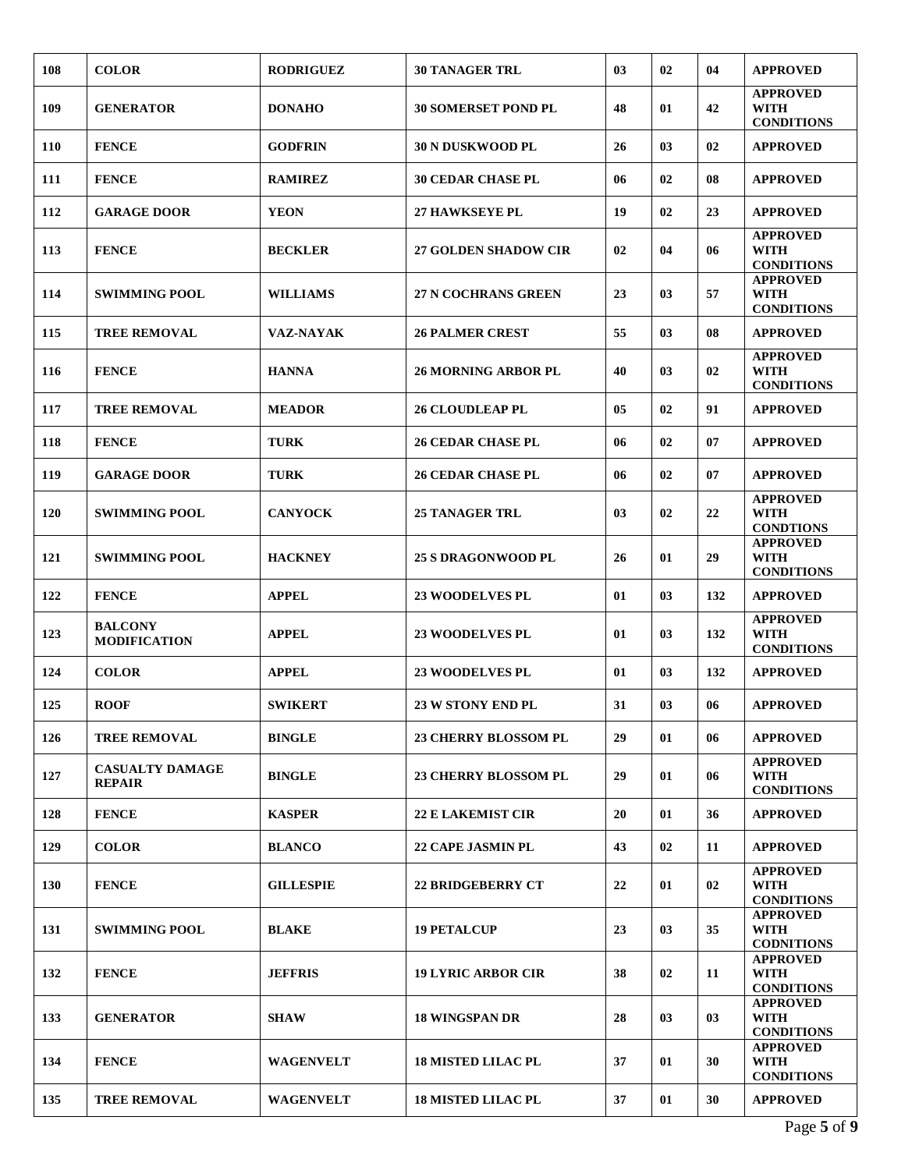| 108        | <b>COLOR</b>                            | <b>RODRIGUEZ</b> | <b>30 TANAGER TRL</b>       | 03 | 02             | 04             | <b>APPROVED</b>                                     |
|------------|-----------------------------------------|------------------|-----------------------------|----|----------------|----------------|-----------------------------------------------------|
| 109        | <b>GENERATOR</b>                        | <b>DONAHO</b>    | <b>30 SOMERSET POND PL</b>  | 48 | 01             | 42             | <b>APPROVED</b><br><b>WITH</b><br><b>CONDITIONS</b> |
| 110        | <b>FENCE</b>                            | <b>GODFRIN</b>   | <b>30 N DUSKWOOD PL</b>     | 26 | 0 <sub>3</sub> | 02             | <b>APPROVED</b>                                     |
| 111        | <b>FENCE</b>                            | <b>RAMIREZ</b>   | <b>30 CEDAR CHASE PL</b>    | 06 | 02             | 08             | <b>APPROVED</b>                                     |
| 112        | <b>GARAGE DOOR</b>                      | <b>YEON</b>      | <b>27 HAWKSEYE PL</b>       | 19 | 02             | 23             | <b>APPROVED</b>                                     |
| 113        | <b>FENCE</b>                            | <b>BECKLER</b>   | <b>27 GOLDEN SHADOW CIR</b> | 02 | 04             | 06             | <b>APPROVED</b><br><b>WITH</b><br><b>CONDITIONS</b> |
| 114        | <b>SWIMMING POOL</b>                    | <b>WILLIAMS</b>  | <b>27 N COCHRANS GREEN</b>  | 23 | 03             | 57             | <b>APPROVED</b><br><b>WITH</b><br><b>CONDITIONS</b> |
| 115        | <b>TREE REMOVAL</b>                     | <b>VAZ-NAYAK</b> | <b>26 PALMER CREST</b>      | 55 | 0 <sub>3</sub> | 08             | <b>APPROVED</b>                                     |
| 116        | <b>FENCE</b>                            | <b>HANNA</b>     | <b>26 MORNING ARBOR PL</b>  | 40 | 03             | 02             | <b>APPROVED</b><br><b>WITH</b><br><b>CONDITIONS</b> |
| 117        | <b>TREE REMOVAL</b>                     | <b>MEADOR</b>    | <b>26 CLOUDLEAP PL</b>      | 05 | 02             | 91             | <b>APPROVED</b>                                     |
| 118        | <b>FENCE</b>                            | <b>TURK</b>      | <b>26 CEDAR CHASE PL</b>    | 06 | 02             | 07             | <b>APPROVED</b>                                     |
| 119        | <b>GARAGE DOOR</b>                      | <b>TURK</b>      | <b>26 CEDAR CHASE PL</b>    | 06 | 02             | 07             | <b>APPROVED</b>                                     |
| 120        | <b>SWIMMING POOL</b>                    | <b>CANYOCK</b>   | <b>25 TANAGER TRL</b>       | 03 | 02             | 22             | <b>APPROVED</b><br><b>WITH</b><br><b>CONDTIONS</b>  |
| 121        | <b>SWIMMING POOL</b>                    | <b>HACKNEY</b>   | <b>25 S DRAGONWOOD PL</b>   | 26 | 01             | 29             | <b>APPROVED</b><br><b>WITH</b><br><b>CONDITIONS</b> |
| 122        | <b>FENCE</b>                            | <b>APPEL</b>     | <b>23 WOODELVES PL</b>      | 01 | 03             | 132            | <b>APPROVED</b>                                     |
| 123        | <b>BALCONY</b><br><b>MODIFICATION</b>   | <b>APPEL</b>     | <b>23 WOODELVES PL</b>      | 01 | 03             | 132            | <b>APPROVED</b><br><b>WITH</b><br><b>CONDITIONS</b> |
| 124        | <b>COLOR</b>                            | <b>APPEL</b>     | <b>23 WOODELVES PL</b>      | 01 | 03             | 132            | <b>APPROVED</b>                                     |
| 125        | <b>ROOF</b>                             | <b>SWIKERT</b>   | 23 W STONY END PL           | 31 | 03             | 06             | <b>APPROVED</b>                                     |
| 126        | <b>TREE REMOVAL</b>                     | <b>BINGLE</b>    | <b>23 CHERRY BLOSSOM PL</b> | 29 | 01             | 06             | <b>APPROVED</b>                                     |
| 127        | <b>CASUALTY DAMAGE</b><br><b>REPAIR</b> | <b>BINGLE</b>    | <b>23 CHERRY BLOSSOM PL</b> | 29 | 01             | 06             | <b>APPROVED</b><br><b>WITH</b><br><b>CONDITIONS</b> |
| 128        | <b>FENCE</b>                            | <b>KASPER</b>    | <b>22 E LAKEMIST CIR</b>    | 20 | 01             | 36             | <b>APPROVED</b>                                     |
| 129        | <b>COLOR</b>                            | <b>BLANCO</b>    | <b>22 CAPE JASMIN PL</b>    | 43 | 02             | 11             | <b>APPROVED</b>                                     |
| <b>130</b> | <b>FENCE</b>                            | <b>GILLESPIE</b> | <b>22 BRIDGEBERRY CT</b>    | 22 | 01             | 02             | <b>APPROVED</b><br><b>WITH</b><br><b>CONDITIONS</b> |
| 131        | <b>SWIMMING POOL</b>                    | <b>BLAKE</b>     | <b>19 PETALCUP</b>          | 23 | 03             | 35             | <b>APPROVED</b><br><b>WITH</b><br><b>CODNITIONS</b> |
| 132        | <b>FENCE</b>                            | <b>JEFFRIS</b>   | <b>19 LYRIC ARBOR CIR</b>   | 38 | 02             | 11             | <b>APPROVED</b><br><b>WITH</b><br><b>CONDITIONS</b> |
| 133        | <b>GENERATOR</b>                        | <b>SHAW</b>      | <b>18 WINGSPAN DR</b>       | 28 | 03             | 0 <sub>3</sub> | <b>APPROVED</b><br><b>WITH</b><br><b>CONDITIONS</b> |
| 134        | <b>FENCE</b>                            | <b>WAGENVELT</b> | <b>18 MISTED LILAC PL</b>   | 37 | 01             | 30             | <b>APPROVED</b><br><b>WITH</b><br><b>CONDITIONS</b> |
| 135        | <b>TREE REMOVAL</b>                     | <b>WAGENVELT</b> | <b>18 MISTED LILAC PL</b>   | 37 | 01             | 30             | <b>APPROVED</b>                                     |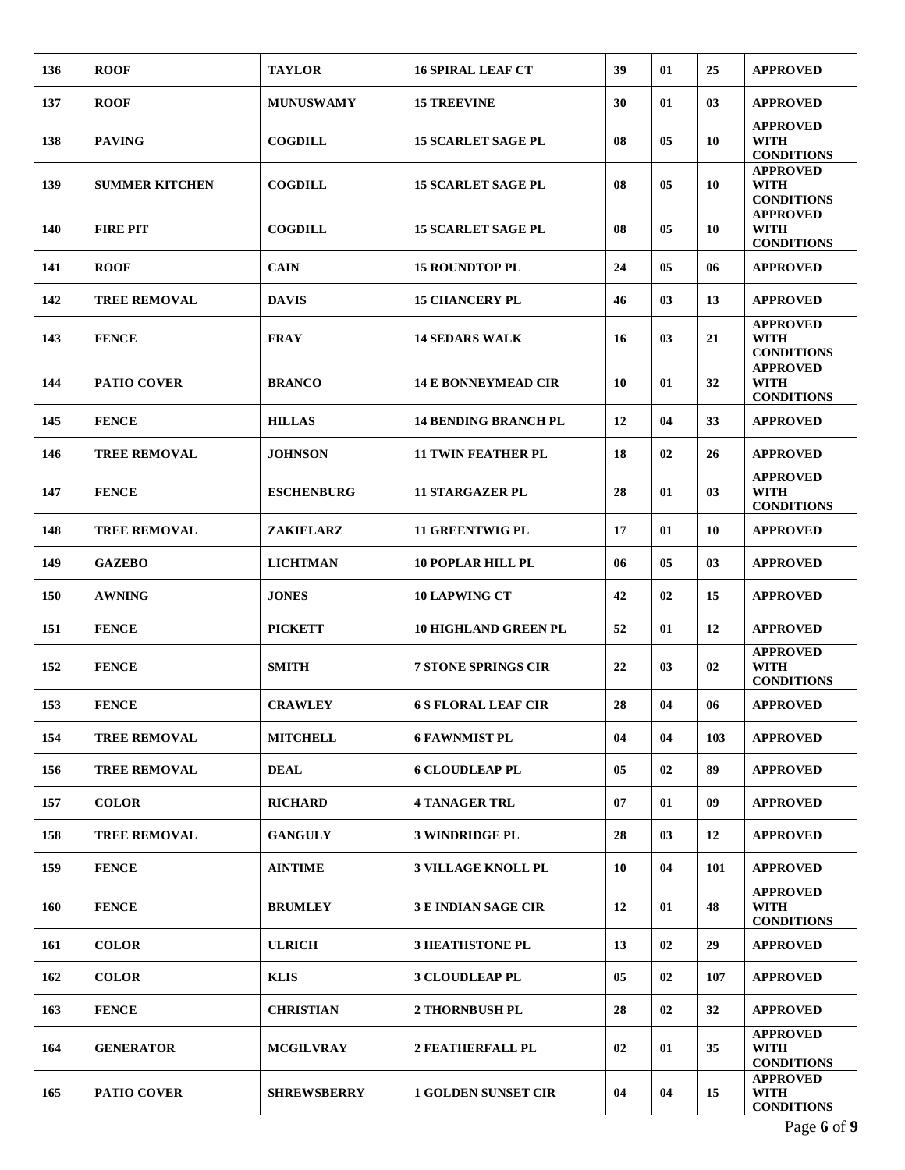| 136 | <b>ROOF</b>           | <b>TAYLOR</b>      | <b>16 SPIRAL LEAF CT</b>    | 39 | 01             | 25  | <b>APPROVED</b>                                     |
|-----|-----------------------|--------------------|-----------------------------|----|----------------|-----|-----------------------------------------------------|
| 137 | <b>ROOF</b>           | <b>MUNUSWAMY</b>   | <b>15 TREEVINE</b>          | 30 | 01             | 03  | <b>APPROVED</b>                                     |
| 138 | <b>PAVING</b>         | <b>COGDILL</b>     | <b>15 SCARLET SAGE PL</b>   | 08 | 0 <sub>5</sub> | 10  | <b>APPROVED</b><br><b>WITH</b><br><b>CONDITIONS</b> |
| 139 | <b>SUMMER KITCHEN</b> | <b>COGDILL</b>     | <b>15 SCARLET SAGE PL</b>   | 08 | 0 <sub>5</sub> | 10  | <b>APPROVED</b><br><b>WITH</b><br><b>CONDITIONS</b> |
| 140 | <b>FIRE PIT</b>       | <b>COGDILL</b>     | <b>15 SCARLET SAGE PL</b>   | 08 | 05             | 10  | <b>APPROVED</b><br><b>WITH</b><br><b>CONDITIONS</b> |
| 141 | <b>ROOF</b>           | <b>CAIN</b>        | <b>15 ROUNDTOP PL</b>       | 24 | 0 <sub>5</sub> | 06  | <b>APPROVED</b>                                     |
| 142 | <b>TREE REMOVAL</b>   | <b>DAVIS</b>       | <b>15 CHANCERY PL</b>       | 46 | 03             | 13  | <b>APPROVED</b>                                     |
| 143 | <b>FENCE</b>          | <b>FRAY</b>        | <b>14 SEDARS WALK</b>       | 16 | 03             | 21  | <b>APPROVED</b><br><b>WITH</b><br><b>CONDITIONS</b> |
| 144 | <b>PATIO COVER</b>    | <b>BRANCO</b>      | <b>14 E BONNEYMEAD CIR</b>  | 10 | 01             | 32  | <b>APPROVED</b><br><b>WITH</b><br><b>CONDITIONS</b> |
| 145 | <b>FENCE</b>          | <b>HILLAS</b>      | <b>14 BENDING BRANCH PL</b> | 12 | 04             | 33  | <b>APPROVED</b>                                     |
| 146 | <b>TREE REMOVAL</b>   | <b>JOHNSON</b>     | <b>11 TWIN FEATHER PL</b>   | 18 | 02             | 26  | <b>APPROVED</b>                                     |
| 147 | <b>FENCE</b>          | <b>ESCHENBURG</b>  | <b>11 STARGAZER PL</b>      | 28 | 01             | 03  | <b>APPROVED</b><br><b>WITH</b><br><b>CONDITIONS</b> |
| 148 | <b>TREE REMOVAL</b>   | <b>ZAKIELARZ</b>   | <b>11 GREENTWIG PL</b>      | 17 | 01             | 10  | <b>APPROVED</b>                                     |
| 149 | <b>GAZEBO</b>         | <b>LICHTMAN</b>    | <b>10 POPLAR HILL PL</b>    | 06 | 05             | 03  | <b>APPROVED</b>                                     |
| 150 | <b>AWNING</b>         | <b>JONES</b>       | <b>10 LAPWING CT</b>        | 42 | 02             | 15  | <b>APPROVED</b>                                     |
| 151 | <b>FENCE</b>          | <b>PICKETT</b>     | <b>10 HIGHLAND GREEN PL</b> | 52 | 01             | 12  | <b>APPROVED</b>                                     |
| 152 | <b>FENCE</b>          | <b>SMITH</b>       | <b>7 STONE SPRINGS CIR</b>  | 22 | 03             | 02  | <b>APPROVED</b><br>WITH<br><b>CONDITIONS</b>        |
| 153 | <b>FENCE</b>          | <b>CRAWLEY</b>     | <b>6 S FLORAL LEAF CIR</b>  | 28 | 04             | 06  | <b>APPROVED</b>                                     |
| 154 | <b>TREE REMOVAL</b>   | <b>MITCHELL</b>    | <b>6 FAWNMIST PL</b>        | 04 | 04             | 103 | <b>APPROVED</b>                                     |
| 156 | <b>TREE REMOVAL</b>   | <b>DEAL</b>        | <b>6 CLOUDLEAP PL</b>       | 05 | 02             | 89  | <b>APPROVED</b>                                     |
| 157 | <b>COLOR</b>          | <b>RICHARD</b>     | <b>4 TANAGER TRL</b>        | 07 | 01             | 09  | <b>APPROVED</b>                                     |
| 158 | <b>TREE REMOVAL</b>   | <b>GANGULY</b>     | <b>3 WINDRIDGE PL</b>       | 28 | 03             | 12  | <b>APPROVED</b>                                     |
| 159 | <b>FENCE</b>          | <b>AINTIME</b>     | <b>3 VILLAGE KNOLL PL</b>   | 10 | 04             | 101 | <b>APPROVED</b>                                     |
| 160 | <b>FENCE</b>          | <b>BRUMLEY</b>     | <b>3 E INDIAN SAGE CIR</b>  | 12 | 01             | 48  | <b>APPROVED</b><br><b>WITH</b><br><b>CONDITIONS</b> |
| 161 | <b>COLOR</b>          | <b>ULRICH</b>      | <b>3 HEATHSTONE PL</b>      | 13 | 02             | 29  | <b>APPROVED</b>                                     |
| 162 | <b>COLOR</b>          | <b>KLIS</b>        | <b>3 CLOUDLEAP PL</b>       | 05 | 02             | 107 | <b>APPROVED</b>                                     |
| 163 | <b>FENCE</b>          | <b>CHRISTIAN</b>   | 2 THORNBUSH PL              | 28 | 02             | 32  | <b>APPROVED</b>                                     |
| 164 | <b>GENERATOR</b>      | <b>MCGILVRAY</b>   | <b>2 FEATHERFALL PL</b>     | 02 | 01             | 35  | <b>APPROVED</b><br><b>WITH</b><br><b>CONDITIONS</b> |
| 165 | <b>PATIO COVER</b>    | <b>SHREWSBERRY</b> | <b>1 GOLDEN SUNSET CIR</b>  | 04 | 04             | 15  | <b>APPROVED</b><br><b>WITH</b><br><b>CONDITIONS</b> |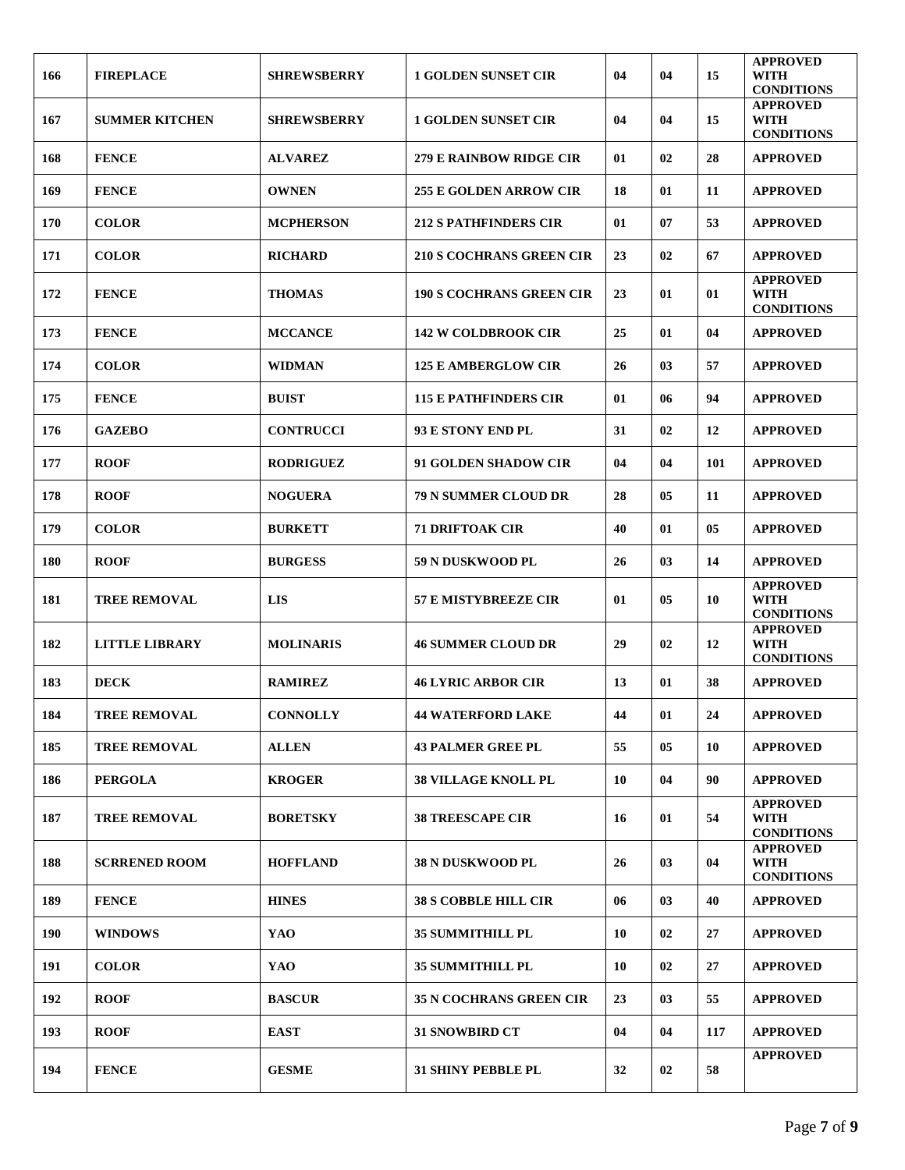| 166 | <b>FIREPLACE</b>      | <b>SHREWSBERRY</b> | <b>1 GOLDEN SUNSET CIR</b>      | 04 | 04 | 15             | <b>APPROVED</b><br><b>WITH</b>                      |
|-----|-----------------------|--------------------|---------------------------------|----|----|----------------|-----------------------------------------------------|
|     |                       |                    |                                 |    |    |                | <b>CONDITIONS</b><br><b>APPROVED</b>                |
| 167 | <b>SUMMER KITCHEN</b> | <b>SHREWSBERRY</b> | <b>1 GOLDEN SUNSET CIR</b>      | 04 | 04 | 15             | <b>WITH</b><br><b>CONDITIONS</b>                    |
| 168 | <b>FENCE</b>          | <b>ALVAREZ</b>     | 279 E RAINBOW RIDGE CIR         | 01 | 02 | 28             | <b>APPROVED</b>                                     |
| 169 | <b>FENCE</b>          | <b>OWNEN</b>       | <b>255 E GOLDEN ARROW CIR</b>   | 18 | 01 | 11             | <b>APPROVED</b>                                     |
| 170 | <b>COLOR</b>          | <b>MCPHERSON</b>   | <b>212 S PATHFINDERS CIR</b>    | 01 | 07 | 53             | <b>APPROVED</b>                                     |
| 171 | <b>COLOR</b>          | <b>RICHARD</b>     | <b>210 S COCHRANS GREEN CIR</b> | 23 | 02 | 67             | <b>APPROVED</b>                                     |
| 172 | <b>FENCE</b>          | <b>THOMAS</b>      | <b>190 S COCHRANS GREEN CIR</b> | 23 | 01 | 01             | <b>APPROVED</b><br><b>WITH</b><br><b>CONDITIONS</b> |
| 173 | <b>FENCE</b>          | <b>MCCANCE</b>     | <b>142 W COLDBROOK CIR</b>      | 25 | 01 | 04             | <b>APPROVED</b>                                     |
| 174 | <b>COLOR</b>          | <b>WIDMAN</b>      | <b>125 E AMBERGLOW CIR</b>      | 26 | 03 | 57             | <b>APPROVED</b>                                     |
| 175 | <b>FENCE</b>          | <b>BUIST</b>       | <b>115 E PATHFINDERS CIR</b>    | 01 | 06 | 94             | <b>APPROVED</b>                                     |
| 176 | <b>GAZEBO</b>         | <b>CONTRUCCI</b>   | 93 E STONY END PL               | 31 | 02 | 12             | <b>APPROVED</b>                                     |
| 177 | <b>ROOF</b>           | <b>RODRIGUEZ</b>   | 91 GOLDEN SHADOW CIR            | 04 | 04 | 101            | <b>APPROVED</b>                                     |
| 178 | <b>ROOF</b>           | <b>NOGUERA</b>     | <b>79 N SUMMER CLOUD DR</b>     | 28 | 05 | 11             | <b>APPROVED</b>                                     |
| 179 | <b>COLOR</b>          | <b>BURKETT</b>     | <b>71 DRIFTOAK CIR</b>          | 40 | 01 | 0 <sub>5</sub> | <b>APPROVED</b>                                     |
| 180 | <b>ROOF</b>           | <b>BURGESS</b>     | 59 N DUSKWOOD PL                | 26 | 03 | 14             | <b>APPROVED</b>                                     |
| 181 | <b>TREE REMOVAL</b>   | <b>LIS</b>         | <b>57 E MISTYBREEZE CIR</b>     | 01 | 05 | 10             | <b>APPROVED</b><br><b>WITH</b><br><b>CONDITIONS</b> |
| 182 | <b>LITTLE LIBRARY</b> | <b>MOLINARIS</b>   | <b>46 SUMMER CLOUD DR</b>       | 29 | 02 | 12             | <b>APPROVED</b><br><b>WITH</b><br><b>CONDITIONS</b> |
| 183 | <b>DECK</b>           | <b>RAMIREZ</b>     | <b>46 LYRIC ARBOR CIR</b>       | 13 | 01 | 38             | <b>APPROVED</b>                                     |
| 184 | TREE REMOVAL          | <b>CONNOLLY</b>    | <b>44 WATERFORD LAKE</b>        | 44 | 01 | 24             | <b>APPROVED</b>                                     |
| 185 | <b>TREE REMOVAL</b>   | <b>ALLEN</b>       | <b>43 PALMER GREE PL</b>        | 55 | 05 | 10             | <b>APPROVED</b>                                     |
| 186 | <b>PERGOLA</b>        | <b>KROGER</b>      | <b>38 VILLAGE KNOLL PL</b>      | 10 | 04 | 90             | <b>APPROVED</b>                                     |
| 187 | <b>TREE REMOVAL</b>   | <b>BORETSKY</b>    | <b>38 TREESCAPE CIR</b>         | 16 | 01 | 54             | <b>APPROVED</b><br><b>WITH</b><br><b>CONDITIONS</b> |
| 188 | <b>SCRRENED ROOM</b>  | <b>HOFFLAND</b>    | <b>38 N DUSKWOOD PL</b>         | 26 | 03 | 04             | <b>APPROVED</b><br><b>WITH</b><br><b>CONDITIONS</b> |
| 189 | <b>FENCE</b>          | <b>HINES</b>       | <b>38 S COBBLE HILL CIR</b>     | 06 | 03 | 40             | <b>APPROVED</b>                                     |
| 190 | <b>WINDOWS</b>        | YAO                | <b>35 SUMMITHILL PL</b>         | 10 | 02 | 27             | <b>APPROVED</b>                                     |
| 191 | <b>COLOR</b>          | YAO                | 35 SUMMITHILL PL                | 10 | 02 | 27             | <b>APPROVED</b>                                     |
| 192 | <b>ROOF</b>           | <b>BASCUR</b>      | <b>35 N COCHRANS GREEN CIR</b>  | 23 | 03 | 55             | <b>APPROVED</b>                                     |
| 193 | <b>ROOF</b>           | <b>EAST</b>        | <b>31 SNOWBIRD CT</b>           | 04 | 04 | 117            | <b>APPROVED</b>                                     |
| 194 | <b>FENCE</b>          | <b>GESME</b>       | <b>31 SHINY PEBBLE PL</b>       | 32 | 02 | 58             | <b>APPROVED</b>                                     |
|     |                       |                    |                                 |    |    |                |                                                     |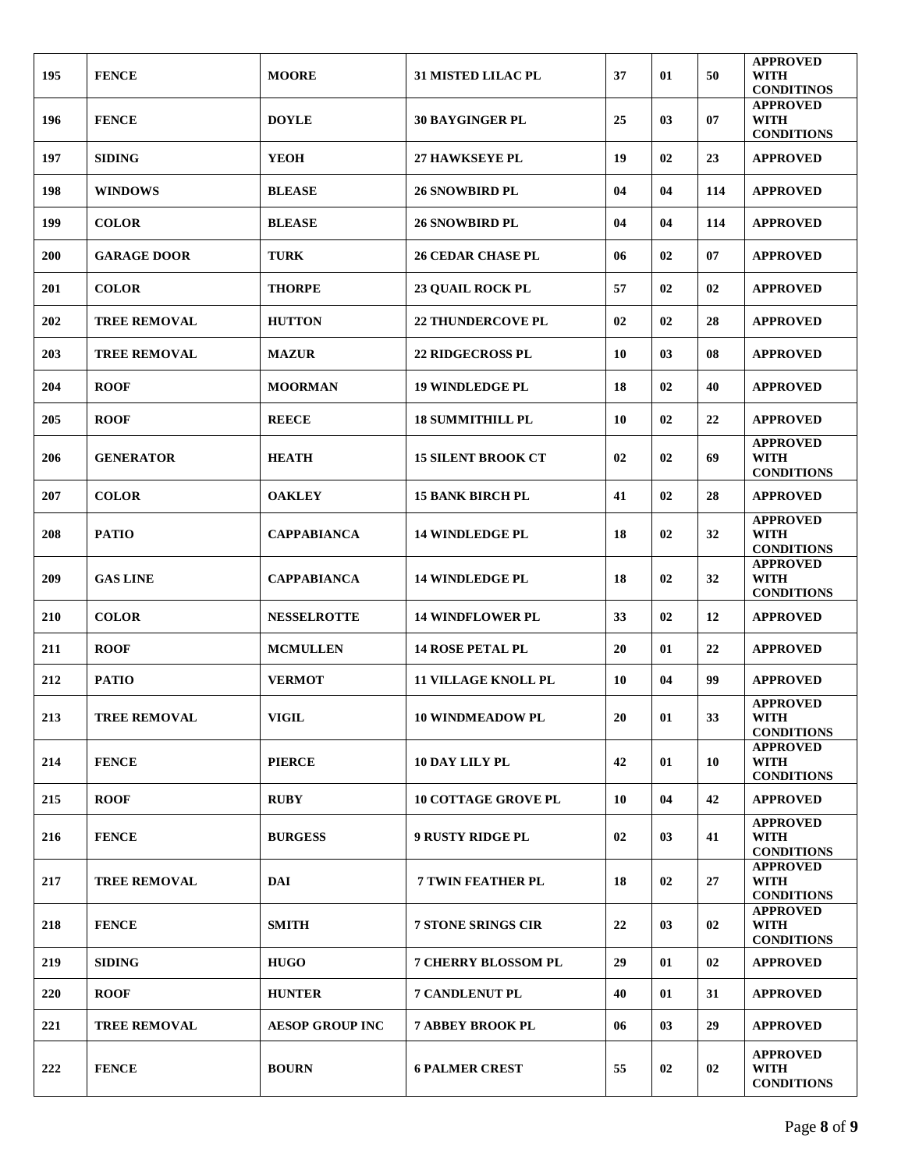| 195 | <b>FENCE</b>        | <b>MOORE</b>           | <b>31 MISTED LILAC PL</b>  | 37 | 01 | 50  | <b>APPROVED</b><br><b>WITH</b><br><b>CONDITINOS</b> |
|-----|---------------------|------------------------|----------------------------|----|----|-----|-----------------------------------------------------|
| 196 | <b>FENCE</b>        | <b>DOYLE</b>           | <b>30 BAYGINGER PL</b>     | 25 | 03 | 07  | <b>APPROVED</b><br><b>WITH</b><br><b>CONDITIONS</b> |
| 197 | <b>SIDING</b>       | <b>YEOH</b>            | <b>27 HAWKSEYE PL</b>      | 19 | 02 | 23  | <b>APPROVED</b>                                     |
| 198 | <b>WINDOWS</b>      | <b>BLEASE</b>          | <b>26 SNOWBIRD PL</b>      | 04 | 04 | 114 | <b>APPROVED</b>                                     |
| 199 | <b>COLOR</b>        | <b>BLEASE</b>          | <b>26 SNOWBIRD PL</b>      | 04 | 04 | 114 | <b>APPROVED</b>                                     |
| 200 | <b>GARAGE DOOR</b>  | <b>TURK</b>            | <b>26 CEDAR CHASE PL</b>   | 06 | 02 | 07  | <b>APPROVED</b>                                     |
| 201 | <b>COLOR</b>        | <b>THORPE</b>          | <b>23 QUAIL ROCK PL</b>    | 57 | 02 | 02  | <b>APPROVED</b>                                     |
| 202 | <b>TREE REMOVAL</b> | <b>HUTTON</b>          | <b>22 THUNDERCOVE PL</b>   | 02 | 02 | 28  | <b>APPROVED</b>                                     |
| 203 | <b>TREE REMOVAL</b> | <b>MAZUR</b>           | 22 RIDGECROSS PL           | 10 | 03 | 08  | <b>APPROVED</b>                                     |
| 204 | <b>ROOF</b>         | <b>MOORMAN</b>         | <b>19 WINDLEDGE PL</b>     | 18 | 02 | 40  | <b>APPROVED</b>                                     |
| 205 | <b>ROOF</b>         | <b>REECE</b>           | <b>18 SUMMITHILL PL</b>    | 10 | 02 | 22  | <b>APPROVED</b>                                     |
| 206 | <b>GENERATOR</b>    | <b>HEATH</b>           | <b>15 SILENT BROOK CT</b>  | 02 | 02 | 69  | <b>APPROVED</b><br><b>WITH</b><br><b>CONDITIONS</b> |
| 207 | <b>COLOR</b>        | <b>OAKLEY</b>          | <b>15 BANK BIRCH PL</b>    | 41 | 02 | 28  | <b>APPROVED</b>                                     |
| 208 | <b>PATIO</b>        | <b>CAPPABIANCA</b>     | <b>14 WINDLEDGE PL</b>     | 18 | 02 | 32  | <b>APPROVED</b><br><b>WITH</b><br><b>CONDITIONS</b> |
| 209 | <b>GAS LINE</b>     | <b>CAPPABIANCA</b>     | <b>14 WINDLEDGE PL</b>     | 18 | 02 | 32  | <b>APPROVED</b><br><b>WITH</b><br><b>CONDITIONS</b> |
| 210 | <b>COLOR</b>        | <b>NESSELROTTE</b>     | <b>14 WINDFLOWER PL</b>    | 33 | 02 | 12  | <b>APPROVED</b>                                     |
| 211 | <b>ROOF</b>         | <b>MCMULLEN</b>        | <b>14 ROSE PETAL PL</b>    | 20 | 01 | 22  | <b>APPROVED</b>                                     |
| 212 | <b>PATIO</b>        | <b>VERMOT</b>          | <b>11 VILLAGE KNOLL PL</b> | 10 | 04 | 99  | <b>APPROVED</b>                                     |
| 213 | <b>TREE REMOVAL</b> | <b>VIGIL</b>           | <b>10 WINDMEADOW PL</b>    | 20 | 01 | 33  | <b>APPROVED</b><br>WITH<br><b>CONDITIONS</b>        |
| 214 | <b>FENCE</b>        | <b>PIERCE</b>          | 10 DAY LILY PL             | 42 | 01 | 10  | <b>APPROVED</b><br><b>WITH</b><br><b>CONDITIONS</b> |
| 215 | <b>ROOF</b>         | <b>RUBY</b>            | <b>10 COTTAGE GROVE PL</b> | 10 | 04 | 42  | <b>APPROVED</b>                                     |
| 216 | <b>FENCE</b>        | <b>BURGESS</b>         | <b>9 RUSTY RIDGE PL</b>    | 02 | 03 | 41  | <b>APPROVED</b><br><b>WITH</b><br><b>CONDITIONS</b> |
| 217 | <b>TREE REMOVAL</b> | <b>DAI</b>             | <b>7 TWIN FEATHER PL</b>   | 18 | 02 | 27  | <b>APPROVED</b><br><b>WITH</b><br><b>CONDITIONS</b> |
| 218 | <b>FENCE</b>        | <b>SMITH</b>           | <b>7 STONE SRINGS CIR</b>  | 22 | 03 | 02  | <b>APPROVED</b><br><b>WITH</b><br><b>CONDITIONS</b> |
| 219 | <b>SIDING</b>       | <b>HUGO</b>            | <b>7 CHERRY BLOSSOM PL</b> | 29 | 01 | 02  | <b>APPROVED</b>                                     |
| 220 | <b>ROOF</b>         | <b>HUNTER</b>          | <b>7 CANDLENUT PL</b>      | 40 | 01 | 31  | <b>APPROVED</b>                                     |
| 221 | <b>TREE REMOVAL</b> | <b>AESOP GROUP INC</b> | <b>7 ABBEY BROOK PL</b>    | 06 | 03 | 29  | <b>APPROVED</b>                                     |
| 222 | <b>FENCE</b>        | <b>BOURN</b>           | <b>6 PALMER CREST</b>      | 55 | 02 | 02  | <b>APPROVED</b><br><b>WITH</b><br><b>CONDITIONS</b> |